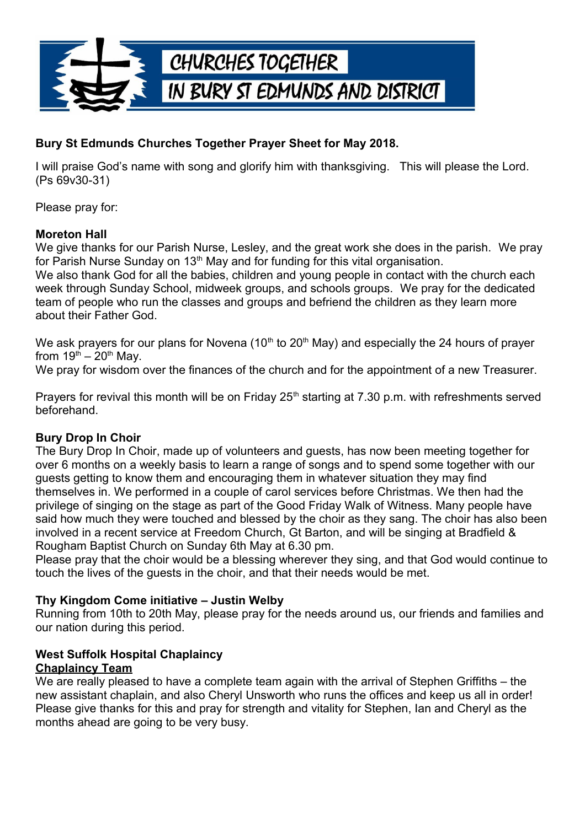

## **Bury St Edmunds Churches Together Prayer Sheet for May 2018.**

I will praise God's name with song and glorify him with thanksgiving. This will please the Lord. (Ps 69v30-31)

Please pray for:

#### **Moreton Hall**

We give thanks for our Parish Nurse, Lesley, and the great work she does in the parish. We pray for Parish Nurse Sunday on  $13<sup>th</sup>$  May and for funding for this vital organisation.

We also thank God for all the babies, children and young people in contact with the church each week through Sunday School, midweek groups, and schools groups. We pray for the dedicated team of people who run the classes and groups and befriend the children as they learn more about their Father God.

We ask prayers for our plans for Novena (10<sup>th</sup> to 20<sup>th</sup> May) and especially the 24 hours of prayer from  $19^{th} - 20^{th}$  May.

We pray for wisdom over the finances of the church and for the appointment of a new Treasurer.

Prayers for revival this month will be on Friday 25<sup>th</sup> starting at 7.30 p.m. with refreshments served beforehand.

## **Bury Drop In Choir**

The Bury Drop In Choir, made up of volunteers and guests, has now been meeting together for over 6 months on a weekly basis to learn a range of songs and to spend some together with our guests getting to know them and encouraging them in whatever situation they may find themselves in. We performed in a couple of carol services before Christmas. We then had the privilege of singing on the stage as part of the Good Friday Walk of Witness. Many people have said how much they were touched and blessed by the choir as they sang. The choir has also been involved in a recent service at Freedom Church, Gt Barton, and will be singing at Bradfield & Rougham Baptist Church on Sunday 6th May at 6.30 pm.

Please pray that the choir would be a blessing wherever they sing, and that God would continue to touch the lives of the guests in the choir, and that their needs would be met.

## **Thy Kingdom Come initiative – Justin Welby**

Running from 10th to 20th May, please pray for the needs around us, our friends and families and our nation during this period.

#### **West Suffolk Hospital Chaplaincy Chaplaincy Team**

We are really pleased to have a complete team again with the arrival of Stephen Griffiths – the new assistant chaplain, and also Cheryl Unsworth who runs the offices and keep us all in order! Please give thanks for this and pray for strength and vitality for Stephen, Ian and Cheryl as the months ahead are going to be very busy.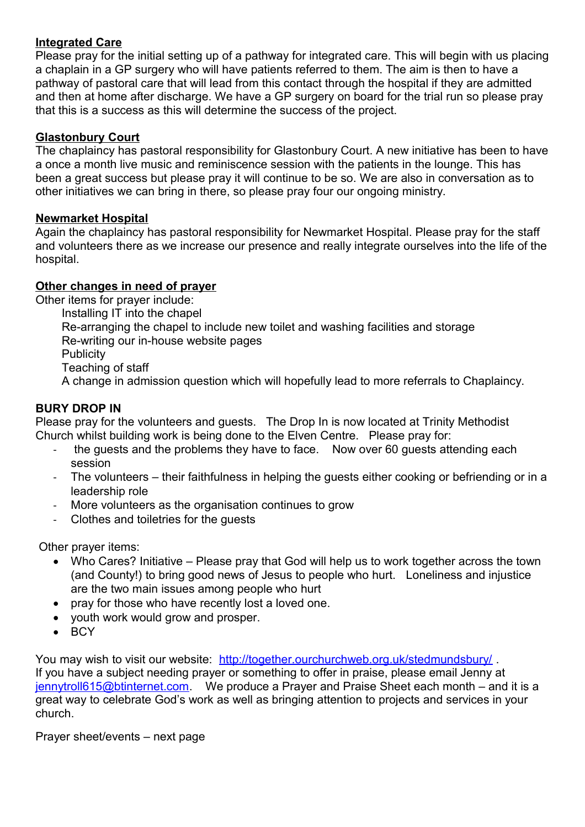### **Integrated Care**

Please pray for the initial setting up of a pathway for integrated care. This will begin with us placing a chaplain in a GP surgery who will have patients referred to them. The aim is then to have a pathway of pastoral care that will lead from this contact through the hospital if they are admitted and then at home after discharge. We have a GP surgery on board for the trial run so please pray that this is a success as this will determine the success of the project.

#### **Glastonbury Court**

The chaplaincy has pastoral responsibility for Glastonbury Court. A new initiative has been to have a once a month live music and reminiscence session with the patients in the lounge. This has been a great success but please pray it will continue to be so. We are also in conversation as to other initiatives we can bring in there, so please pray four our ongoing ministry.

#### **Newmarket Hospital**

Again the chaplaincy has pastoral responsibility for Newmarket Hospital. Please pray for the staff and volunteers there as we increase our presence and really integrate ourselves into the life of the hospital.

#### **Other changes in need of prayer**

Other items for prayer include:

- Installing IT into the chapel
	- Re-arranging the chapel to include new toilet and washing facilities and storage

Re-writing our in-house website pages

- **Publicity**
- Teaching of staff

A change in admission question which will hopefully lead to more referrals to Chaplaincy.

## **BURY DROP IN**

Please pray for the volunteers and guests. The Drop In is now located at Trinity Methodist Church whilst building work is being done to the Elven Centre. Please pray for:

- the quests and the problems they have to face. Now over 60 quests attending each session
- The volunteers their faithfulness in helping the guests either cooking or befriending or in a leadership role
- More volunteers as the organisation continues to grow
- Clothes and toiletries for the guests

Other prayer items:

- Who Cares? Initiative Please pray that God will help us to work together across the town (and County!) to bring good news of Jesus to people who hurt. Loneliness and injustice are the two main issues among people who hurt
- pray for those who have recently lost a loved one.
- youth work would grow and prosper.
- BCY

You may wish to visit our website: http://together.ourchurchweb.org.uk/stedmundsbury/ If you have a subject needing prayer or something to offer in praise, please email Jenny at [jennytroll615@btinternet.com.](mailto:jennytroll615@btinternet.com) We produce a Prayer and Praise Sheet each month – and it is a great way to celebrate God's work as well as bringing attention to projects and services in your church.

Prayer sheet/events – next page